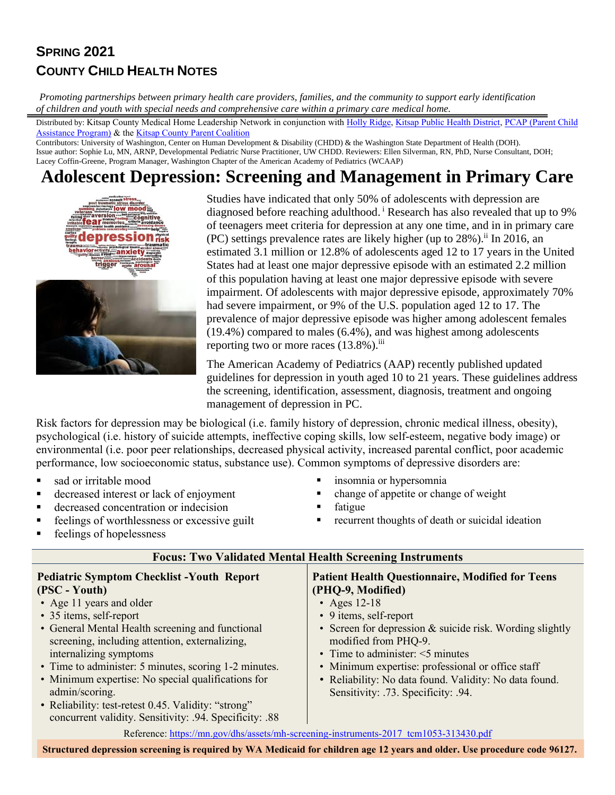## **SPRING 2021 COUNTY CHILD HEALTH NOTES**

*Promoting partnerships between primary health care providers, families, and the community to support early identification of children and youth with special needs and comprehensive care within a primary care medical home.* 

Distributed by: Kitsap County Medical Home Leadership Network in conjunction with [Holly Ridge,](https://hollyridge.org/) [Kitsap Public Health District,](http://www.kitsappublichealth.org/communityHealth/CSHCN.php) [PCAP \(Parent Child](http://depts.washington.edu/pcapuw/)  [Assistance Program\)](http://depts.washington.edu/pcapuw/) & th[e Kitsap County Parent Coalition](http://www.kitsapcountyparentcoalition.com/index.html)

Contributors: University of Washington, Center on Human Development & Disability (CHDD) & the Washington State Department of Health (DOH). Issue author: Sophie Lu, MN, ARNP, Developmental Pediatric Nurse Practitioner, UW CHDD. Reviewers: Ellen Silverman, RN, PhD, Nurse Consultant, DOH; Lacey Coffin-Greene, Program Manager, Washington Chapter of the American Academy of Pediatrics (WCAAP)

# **Adolescent Depression: Screening and Management in Primary Care**



Studies have indicated that only 50% of adolescents with depression are diagnosed before reaching adulthood. <sup>i</sup> Research has also revealed that up to 9% of teenagers meet criteria for depression at any one time, and in in primary care  $(PC)$  settings prevalence rates are likely higher (up to  $28\%$ ).<sup>ii</sup> In 2016, an estimated 3.1 million or 12.8% of adolescents aged 12 to 17 years in the United States had at least one major depressive episode with an estimated 2.2 million of this population having at least one major depressive episode with severe impairment. Of adolescents with major depressive episode, approximately 70% had severe impairment, or 9% of the U.S. population aged 12 to 17. The prevalence of major depressive episode was higher among adolescent females (19.4%) compared to males (6.4%), and was highest among adolescents reporting two or more races  $(13.8\%)$ .

The American Academy of Pediatrics (AAP) recently published updated guidelines for depression in youth aged 10 to 21 years. These guidelines address the screening, identification, assessment, diagnosis, treatment and ongoing management of depression in PC.

Risk factors for depression may be biological (i.e. family history of depression, chronic medical illness, obesity), psychological (i.e. history of suicide attempts, ineffective coping skills, low self-esteem, negative body image) or environmental (i.e. poor peer relationships, decreased physical activity, increased parental conflict, poor academic performance, low socioeconomic status, substance use). Common symptoms of depressive disorders are:

- 
- decreased interest or lack of enjoyment change of appetite or change of weight
- decreased concentration or indecision fatigue
- 
- feelings of hopelessness
- sad or irritable mood ■ insomnia or hypersomnia
	-
	-
	- feelings of worthlessness or excessive guilt **•** recurrent thoughts of death or suicidal ideation

#### **Focus: Two Validated Mental Health Screening Instruments**

#### **Pediatric Symptom Checklist -Youth Report (PSC - Youth)**

- Age 11 years and older
- 35 items, self-report
- General Mental Health screening and functional screening, including attention, externalizing, internalizing symptoms
- Time to administer: 5 minutes, scoring 1-2 minutes.
- Minimum expertise: No special qualifications for admin/scoring.
- Reliability: test-retest 0.45. Validity: "strong" concurrent validity. Sensitivity: .94. Specificity: .88

#### **Patient Health Questionnaire, Modified for Teens (PHQ-9, Modified)**

- Ages 12-18
- 9 items, self-report
- Screen for depression & suicide risk. Wording slightly modified from PHQ-9.
- Time to administer:  $\leq$ 5 minutes
- Minimum expertise: professional or office staff
- Reliability: No data found. Validity: No data found. Sensitivity: .73. Specificity: .94.
- Reference: [https://mn.gov/dhs/assets/mh-screening-instruments-2017\\_tcm1053-313430.pdf](https://mn.gov/dhs/assets/mh-screening-instruments-2017_tcm1053-313430.pdf)

**Structured depression screening is required by WA Medicaid for children age 12 years and older. Use procedure code 96127.**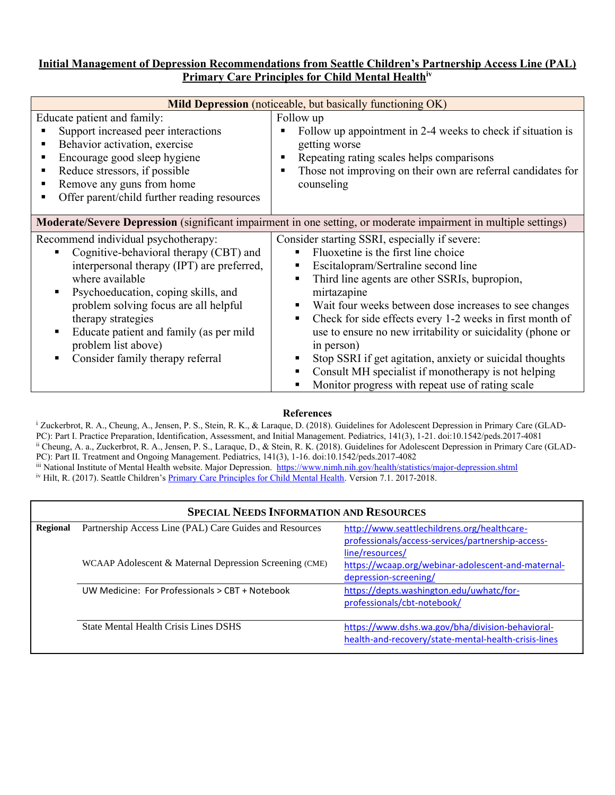#### **Initial Management of Depression Recommendations from Seattle Children's Partnership Access Line (PAL) Primary Care Principles for Child Mental Healthiv**

| <b>Mild Depression</b> (noticeable, but basically functioning OK)                                                                                                                                                                                                                                                                                          |                                                                                                                                                                                                                                                                                                                                                                                                                                                                                                                                                                               |  |  |
|------------------------------------------------------------------------------------------------------------------------------------------------------------------------------------------------------------------------------------------------------------------------------------------------------------------------------------------------------------|-------------------------------------------------------------------------------------------------------------------------------------------------------------------------------------------------------------------------------------------------------------------------------------------------------------------------------------------------------------------------------------------------------------------------------------------------------------------------------------------------------------------------------------------------------------------------------|--|--|
| Educate patient and family:<br>Support increased peer interactions<br>Behavior activation, exercise<br>٠<br>Encourage good sleep hygiene<br>٠<br>Reduce stressors, if possible<br>Remove any guns from home<br>Offer parent/child further reading resources                                                                                                | Follow up<br>Follow up appointment in 2-4 weeks to check if situation is<br>getting worse<br>Repeating rating scales helps comparisons<br>Those not improving on their own are referral candidates for<br>counseling                                                                                                                                                                                                                                                                                                                                                          |  |  |
| Moderate/Severe Depression (significant impairment in one setting, or moderate impairment in multiple settings)                                                                                                                                                                                                                                            |                                                                                                                                                                                                                                                                                                                                                                                                                                                                                                                                                                               |  |  |
| Recommend individual psychotherapy:<br>Cognitive-behavioral therapy (CBT) and<br>interpersonal therapy (IPT) are preferred,<br>where available<br>Psychoeducation, coping skills, and<br>problem solving focus are all helpful<br>therapy strategies<br>Educate patient and family (as per mild<br>problem list above)<br>Consider family therapy referral | Consider starting SSRI, especially if severe:<br>Fluoxetine is the first line choice<br>Escitalopram/Sertraline second line<br>Third line agents are other SSRIs, bupropion,<br>٠<br>mirtazapine<br>Wait four weeks between dose increases to see changes<br>Check for side effects every 1-2 weeks in first month of<br>٠<br>use to ensure no new irritability or suicidality (phone or<br>in person)<br>Stop SSRI if get agitation, anxiety or suicidal thoughts<br>Consult MH specialist if monotherapy is not helping<br>Monitor progress with repeat use of rating scale |  |  |

#### **References**

<sup>i</sup> Zuckerbrot, R. A., Cheung, A., Jensen, P. S., Stein, R. K., & Laraque, D. (2018). Guidelines for Adolescent Depression in Primary Care (GLAD-PC): Part I. Practice Preparation, Identification, Assessment, and Initial Management. Pediatrics, 141(3), 1-21. doi:10.1542/peds.2017-4081 ii Cheung, A. a., Zuckerbrot, R. A., Jensen, P. S., Laraque, D., & Stein, R. K. (2018). Guidelines for Adolescent Depression in Primary Care (GLAD-PC): Part II. Treatment and Ongoing Management. Pediatrics, 141(3), 1-16. doi:10.1542/peds.2017-4082 iii National Institute of Mental Health website. Major Depression.<https://www.nimh.nih.gov/health/statistics/major-depression.shtml>

<sup>iv</sup> Hilt, R. (2017). Seattle Children's [Primary Care Principles for Child Mental Health.](http://www.seattlechildrens.org/healthcare-professionals/access-services/partnership-access-line/resources/) Version 7.1. 2017-2018.

|          | <b>SPECIAL NEEDS INFORMATION AND RESOURCES</b>          |                                                      |  |
|----------|---------------------------------------------------------|------------------------------------------------------|--|
| Regional | Partnership Access Line (PAL) Care Guides and Resources | http://www.seattlechildrens.org/healthcare-          |  |
|          |                                                         | professionals/access-services/partnership-access-    |  |
|          |                                                         | line/resources/                                      |  |
|          | WCAAP Adolescent & Maternal Depression Screening (CME)  | https://wcaap.org/webinar-adolescent-and-maternal-   |  |
|          |                                                         | depression-screening/                                |  |
|          | UW Medicine: For Professionals > CBT + Notebook         | https://depts.washington.edu/uwhatc/for-             |  |
|          |                                                         | professionals/cbt-notebook/                          |  |
|          |                                                         |                                                      |  |
|          | <b>State Mental Health Crisis Lines DSHS</b>            | https://www.dshs.wa.gov/bha/division-behavioral-     |  |
|          |                                                         | health-and-recovery/state-mental-health-crisis-lines |  |
|          |                                                         |                                                      |  |